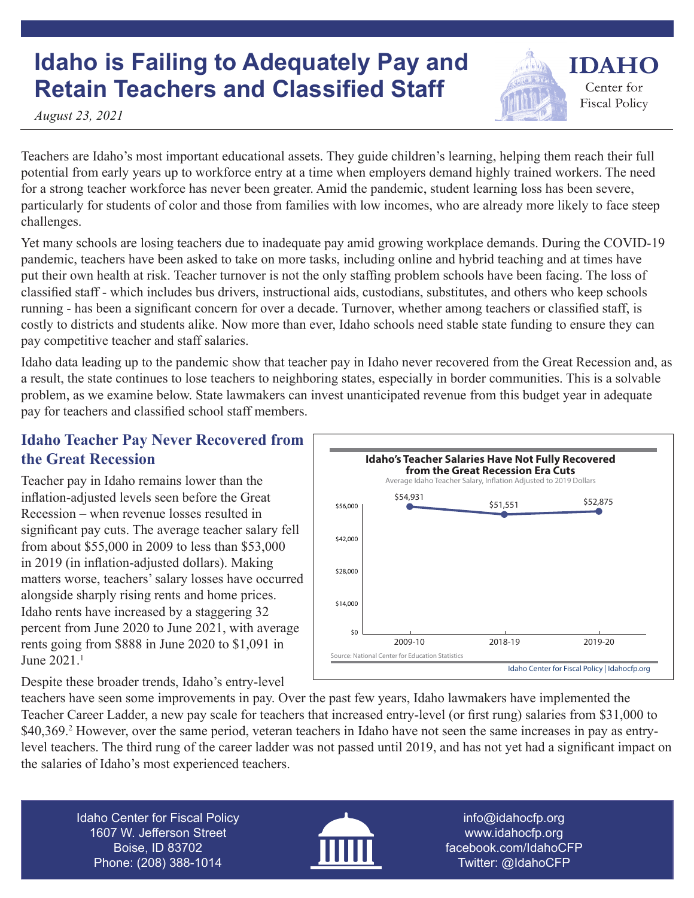# **Idaho is Failing to Adequately Pay and Retain Teachers and Classified Staff**

*August 23, 2021*

Teachers are Idaho's most important educational assets. They guide children's learning, helping them reach their full potential from early years up to workforce entry at a time when employers demand highly trained workers. The need for a strong teacher workforce has never been greater. Amid the pandemic, student learning loss has been severe, particularly for students of color and those from families with low incomes, who are already more likely to face steep challenges.

Yet many schools are losing teachers due to inadequate pay amid growing workplace demands. During the COVID-19 pandemic, teachers have been asked to take on more tasks, including online and hybrid teaching and at times have put their own health at risk. Teacher turnover is not the only staffing problem schools have been facing. The loss of classified staff - which includes bus drivers, instructional aids, custodians, substitutes, and others who keep schools running - has been a significant concern for over a decade. Turnover, whether among teachers or classified staff, is costly to districts and students alike. Now more than ever, Idaho schools need stable state funding to ensure they can pay competitive teacher and staff salaries.

Idaho data leading up to the pandemic show that teacher pay in Idaho never recovered from the Great Recession and, as a result, the state continues to lose teachers to neighboring states, especially in border communities. This is a solvable problem, as we examine below. State lawmakers can invest unanticipated revenue from this budget year in adequate pay for teachers and classified school staff members.

## **Idaho Teacher Pay Never Recovered from the Great Recession**

Teacher pay in Idaho remains lower than the inflation-adjusted levels seen before the Great Recession – when revenue losses resulted in significant pay cuts. The average teacher salary fell from about \$55,000 in 2009 to less than \$53,000 in 2019 (in inflation-adjusted dollars). Making matters worse, teachers' salary losses have occurred alongside sharply rising rents and home prices. Idaho rents have increased by a staggering 32 percent from June 2020 to June 2021, with average rents going from \$888 in June 2020 to \$1,091 in June 2021.<sup>1</sup>

Despite these broader trends, Idaho's entry-level

\$14,000 \$28,000 \$42,000 \$56,000 **\$0** Idaho Center for Fiscal Policy | Idahocfp.org **Idaho's Teacher Salaries Have Not Fully Recovered from the Great Recession Era Cuts** Average Idaho Teacher Salary, Inflation Adjusted to 2019 Dollars Source: National Center for Education Statistics 2009-10 2018-19 2019-20 \$54,931 \$51,551 \$52,875

**IDAHO** 

Center for **Fiscal Policy** 

teachers have seen some improvements in pay. Over the past few years, Idaho lawmakers have implemented the Teacher Career Ladder, a new pay scale for teachers that increased entry-level (or first rung) salaries from \$31,000 to \$40,369.<sup>2</sup> However, over the same period, veteran teachers in Idaho have not seen the same increases in pay as entrylevel teachers. The third rung of the career ladder was not passed until 2019, and has not yet had a significant impact on the salaries of Idaho's most experienced teachers.

Idaho Center for Fiscal Policy 1607 W. Jefferson Street Boise, ID 83702 Phone: (208) 388-1014



info@idahocfp.org www.idahocfp.org facebook.com/IdahoCFP Twitter: @IdahoCFP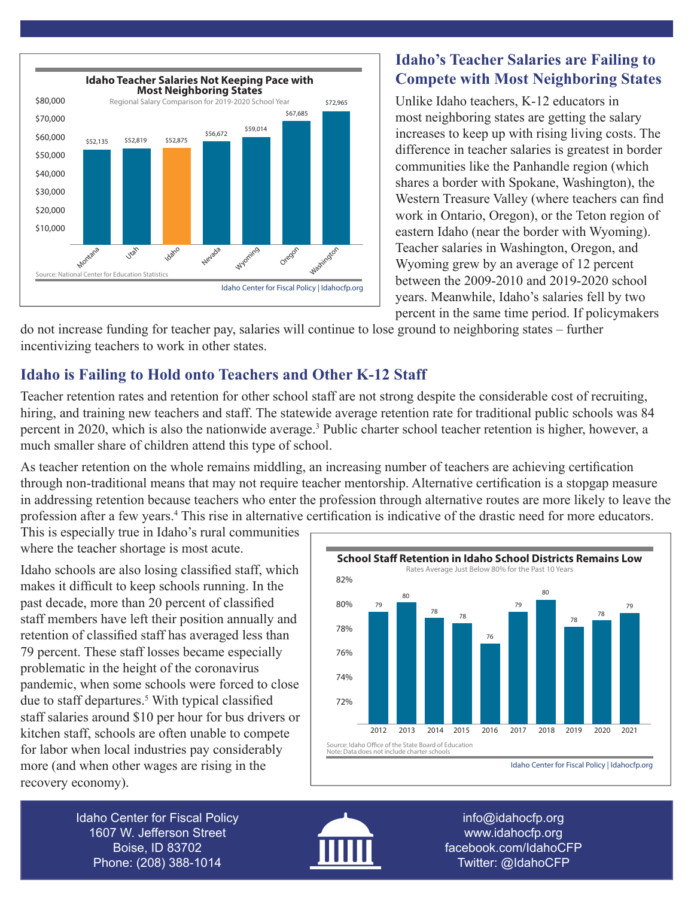

#### **Idaho's Teacher Salaries are Failing to Compete with Most Neighboring States**

Unlike Idaho teachers, K-12 educators in most neighboring states are getting the salary increases to keep up with rising living costs. The difference in teacher salaries is greatest in border communities like the Panhandle region (which shares a border with Spokane, Washington), the Western Treasure Valley (where teachers can find work in Ontario, Oregon), or the Teton region of eastern Idaho (near the border with Wyoming). Teacher salaries in Washington, Oregon, and Wyoming grew by an average of 12 percent between the 2009-2010 and 2019-2020 school years. Meanwhile, Idaho's salaries fell by two percent in the same time period. If policymakers

do not increase funding for teacher pay, salaries will continue to lose ground to neighboring states – further incentivizing teachers to work in other states.

# **Idaho is Failing to Hold onto Teachers and Other K-12 Staff**

Teacher retention rates and retention for other school staff are not strong despite the considerable cost of recruiting, hiring, and training new teachers and staff. The statewide average retention rate for traditional public schools was 84 percent in 2020, which is also the nationwide average.<sup>3</sup> Public charter school teacher retention is higher, however, a much smaller share of children attend this type of school.

As teacher retention on the whole remains middling, an increasing number of teachers are achieving certification through non-traditional means that may not require teacher mentorship. Alternative certification is a stopgap measure in addressing retention because teachers who enter the profession through alternative routes are more likely to leave the profession after a few years.<sup>4</sup> This rise in alternative certification is indicative of the drastic need for more educators.

This is especially true in Idaho's rural communities where the teacher shortage is most acute.

Idaho schools are also losing classified staff, which makes it difficult to keep schools running. In the past decade, more than 20 percent of classified staff members have left their position annually and retention of classified staff has averaged less than 79 percent. These staff losses became especially problematic in the height of the coronavirus pandemic, when some schools were forced to close due to staff departures.<sup>5</sup> With typical classified staff salaries around \$10 per hour for bus drivers or kitchen staff, schools are often unable to compete for labor when local industries pay considerably more (and when other wages are rising in the recovery economy).



Idaho Center for Fiscal Policy 1607 W. Jefferson Street Boise, ID 83702 Phone: (208) 388-1014



info@idahocfp.org www.idahocfp.org facebook.com/IdahoCFP Twitter: @IdahoCFP